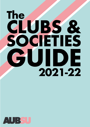# **CLUBS & SOCIETIES GUIDE The 2021-22**

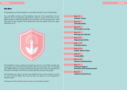Congratulations on being elected as a committee member for your Club/Society!

As a committee member you'll be playing a big part in the organisation of your club/soc. This is an amazing opportunity to make an impact on the lives of your fellow students at AUB! By organising social activities, trips and opportunities, you'll help others to get involved in some great stuff, meet new people and have a great experience at uni.



## *Hey there*

| Page 1-2                            |                                       |
|-------------------------------------|---------------------------------------|
| <b>Students' Unions</b>             |                                       |
| Page 3-4                            |                                       |
| <b>Committee Roles</b>              |                                       |
| Page 5-6                            |                                       |
| <b>The Benefits: Level Up</b>       |                                       |
| Page 7-8                            |                                       |
| <b>Running your Club/Soc</b>        |                                       |
| Page 9-10                           |                                       |
| <b>Organising Activities</b>        |                                       |
| Page 11-12                          |                                       |
| <b>Promotion Advice</b>             |                                       |
|                                     |                                       |
| Page 13-14<br>Health, Safety & Data |                                       |
|                                     |                                       |
| Page 15<br>Sustainability           |                                       |
|                                     |                                       |
| Page 16-18                          | <b>Finances &amp; Memberships</b>     |
|                                     |                                       |
| Page 19                             |                                       |
| <b>Training &amp; Support,</b>      | <b>Summary of the Important Stuff</b> |
| Page 20                             |                                       |
|                                     | <b>Contacts &amp; Useful Forms</b>    |
|                                     |                                       |
|                                     |                                       |

This handbook is here to guide you through your time as a committee member and should have most of the info you'll need to make the most of your role. For anything else, AUBSU staff are on hand to help! Feel free to get in touch with us by popping into the office or emailing. You'll find our contact details at the end of this guide.

Don't feel like you have to sit down and read this cover to cover (unless you want to - that's cool too). Rather, dip in and out when you need to or use this guide as a reference point.

We hope you find it useful during your time as a committee member!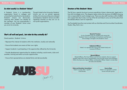A Students' Union is a membership organization found in colleges and universities formed of and run by students. Students' Unions are democratic, meaning their leaders are elected by the members. You are automatically a member of your Students' Union once you enrol at university.

Though linked to the University, Students' Unions are run as entirely separate entities, this is to ensure they are unbiased and objective. Students' Unions are often registered charities as they are run as non-profit organisations.

# **That's all well and good... but what do they actually do? Board of Trustees Board of Trustees**

The SU has a special structure to ensure everything it does is democratic, legal and in line with its strategic aims. The diagram below shows the structure of AUBSU showing who is responsible for each strategic area. There are also staff members within AUBSU who support the day-to-day running of the SU and help to carry out all the plans that the elected officers want to implement.

You'll probably have the most contact with our Activities and Communities Coordinator, Nuala. (Hey, that's me.)

Good question. Students' Unions:

- Represent the interest of students within the institution, locally and nationally
- Ensure that students are aware of their own rights
- Support students in participating in the opportunities offered by the University
- Provide development opportunities for students including: social events, clubs and societies, training and extra-curricular opportunities.
- Ensure that representatives are elected fairly and democratically.



## *So what exactly is a Students' Union? Structure of the Students' Union*

A mix of students and non-students who ensure the Students' Union is upholding its Constitution and By-Laws. Give strategic oversight to the Students' Union.

#### **Sabbatical Officers**  Voted in to represent the voice of the student body and oversee all Officers.

**Clubs and Societies Committees**  Voted in to look after a specific Club/Society.

#### **Course Reps**

Voted in to represent a certain course and year group.

#### **Elected Officers**

Elected Officers, Part-time Officers and full-time students, there to support students within their area of representation and promote events and campaigns. Within this there are a Sports Officer and Societies Officer–Voted in to look after all Clubs and Societies.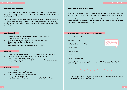Nope, there's a degree of flexibility to roles so don't feel like you can only do the tasks we've suggested. The main thing is that you're pulling your weight and contributing.

And remember, 3 is the minimum number of committee members but lots of clubs and societies work better with additional committee members – the more active committee members you have, the more you can do!

#### **Other committee roles you might want to create:**

Equipment Coordinator

Fundraising Officer

Marketing Officer/Hype Officer

Design Officer

Social Secretary

Events Officer

Communications Officer

Club/Soc Specific Officers: Trips Coordinator for Climbing Club, Production Officer for Podcast Society etc.



Make sure AUBSU always has an updated list of your committee members and you're all members of our Committee FB group!

# *Do we have to stick to that then?*

Each Club/Society have an elected committee made up of at least 3 members. If you're reading this, then you're either proof-reading this guide for me or are on a club/society committee.

- Arrange all meetings of the Club/Soc and keep minutes of these meetings
- Be responsible for the general administration of the Club/Soc
- Keep Club/Soc social media up to date
- Maintain up-to-date records of the Club/Soc membership including contact details for all members

Unless you formed a new club/society yourself then you would have been elected into post by the members in your club/soc. Congratulations! Hopefully you already have an idea of your role, but here's a short outline of the roles & responsbilities of the committee:

# *How do I come into this?*

#### **Captain/President:**

- Oversee all areas of running and coordinating of the Club/Soc
- Head all meeting of the Club/Soc
- Act as a representative of the Club/Soc to all external bodies
- Be a signatory for the Club/Soc budget
- Attend all SU training
- Help, advise and support all members of the Club Soc

#### **Secretary:**

#### **Treasurer:**

- Oversee the Club/Soc budget
- Be a signatory of the Club/Soc budget
- Collect all memberships and deposit to SU
- Oversee Club/Soc expenditure
- Keep Club/Soc committee and members informed of the financial status

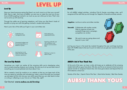# **Benefits Benefits Benefits**

Have you heard everyone saying that there's so much more to uni than your course? Well, they're right. And here at AUBSU, we want you to make the most out of your time at AUB by getting involved in as much as you can while you're here. That's why we've come up with Level Up.

Through the subtle use of gaming metaphors, we'll show you that there's loads of benefits to trying new stuff and getting involved in student-led activities.

Here's just a few of the skills you'll gain in your committee role:

# *Level Up*

Sometimes you might not realise all the amazing skills you're developing when you're simply enjoying whatever you're doing. We want you to sit up and take note of everything you've accomplished and shout about it too.

We've created a Level Up module on our website so that you can keep track of the time you spend on activities and volunteering, make a note of the skills you've picked up and export all this info into your own skills record that you can refer back to when cv-writing or reflecting on your time at uni. Pretty nifty, right?

- **Emerald:** Collaborate with another society Help to organise at least one successful large event, campaign, competition (or similar)
- **Ruby:** We want to see you going above and beyond in your role!

# Get Started: **www.aubsu.co.uk/levelup**

# *The Level Up Module*

For all AUBSU related activities, including Club & Society committees roles, we'll recognise all the stuff that you do through our Sapphire, Emerald and Ruby awards.

**Sapphire:** Just be an active committee member



# *Awards*

Just log your hours in the Level Up module throughout the year and keep touching base with AUBSU about what you're up to to make sure you get your award a the end of the year.



At the end of the year, we have a jolly old knees-up to celebrate all the amazing student-led stuff you guys have done. We also use this as an excuse to hand out some special awards to recognise Clubs & Soc who have gone above and beyond that we think deserve a shout-out.

Society of the Year | Sports Club of the Year | Most Active Society | Best New Society

# *AUBSU's End of Year Thank Yous*









- 
-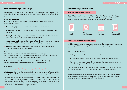Because the SU is a democratic organisation, clubs & societies have to be too. That means that there a few essential things that you'll have to do to be an official club/ soc.

### *1) Sign your Constitution:*

A constitution is a set of fundamental principles that make up what your club/soc *is*. The constitution covers:

- **Memberships** (who can have one, costs and minimum membership)
- **Committee** (who & what makes up a committee and the responsibilities of the committee)
- **Voting & Elections** (how committee members are elected fairly, the democratic nature of a club/soc and processes for vacant positions)
- **AGMS, EGMS and Meetings** (how to call official club/soc meetings, the purpose of AGMs and EGMs, minimum attendance required from members)
- **Finances & Resources** (how finances are managed, rules and regulations around finances, equipment and resources)

#### *2) Sign your Code of Conduct*

The Code of Conduct covers what is expected of you, including: your relationship with AUBSU, your relationship with your members, memberships, activities & events, equipment and unacceptable behaviour.

**Giving** reports

#### *3) Have a minimum of 5 paid members (even if your club/soc is free to join!)*

These 5 members cannot be part of your Club or Soc committee.

#### *4) Be active!*



# *What makes us a legit Club/Society?*

### **AGM = Annual General Meeting**

Clubs & Socs need to hold an AGM before the end of the year to review the past year and elect a new committee. You will get AGM training in March so you're fully clued up but here are a few of the things you'll using your AGM for:





# *General Meetings (AGMs & EGMs)*

*Memberships:* Your Club/Soc democratically agree on the price of memberships, usually at your AGM. Price must be reasonable & allow for your predicted expenses.

Memberships can be bought online through your society pages on AUBSU's website. They can also be bought directly from AUBSU at Freshers' Fair. We don't encourage cash purchasing, as members now have to consent to our data privacy policy when buying memberships. Associate members (BU students, staff etc.) can purchase memberships online by creating a guest account.

Voting on a new committee



Planning for next year

Reviewing your constitution



### **EGM = Extraordinary General Meeting**

An EGM is a meeting of an organisation's members that occurs at an irregular time. So for you, an EGM will be any official decision-making meeting that isn't your AGM.

You might call an EGM for:

- Electing a new committee member when a position is vacant
- Your members request a meeting as they have an issue they wish to discuss
- You want to make a big decision for the club/soc that requires members of the soc/club to be present or to take part in a vote

If you do have to call an EGM, it would be best to let AUBSU know, as we can help advise you and ensure that everything goes through the correct procedures.

We can also help with mediation so if you are having any issues within your club/ soc let us know and we can set up meetings, advise you and work with all your members to ensure the best outcome for your club/soc.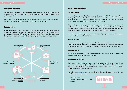Clubs & Socs do loads of stuff, from weekly meet-ups to film screenings, event nights to trips around the UK. Largely, it's up to you guys to organise what you want to do and to make it happen.

Here's some how-to info for things that you're likely to want to do - for everything else, just pop into AUBSU office and we'll have a chat about your ideas.

AUBSU has loads of clubs & societies so why not work together and hold joint events now and again? An open mic night with Writing Soc and Music Soc for example, or a podcast talking about life as an International student. We've found that our clubs & socs are generally up for new ideas and things to do so approach each other and share ideas.

# *How do we do stuff?*

# *Collaborations*

## **Room Bookings:**

All room bookings for Club/Socs must go through the SU. The University Room Booking Department will not accept direct requests from students, even for one-off room bookings. Our Activities and Communities Coordinator will ask you for your room booking requests and pass these onto the University.

The following [documents](https://www.aubsu.co.uk/activities/useful_documents/) must be completed and returned a minimum of 1 week prior to departure of your trip:

- Risk Assessments
- Contact & Emergency Contact List
- **Itinerary**

Unfortunately, we cannot guarantee your requests, as priority goes to lectures, but we'll do our best to accommodate you or find alternative rooms. This also means that we have to wait a while for all academic room bookings to be confirmed before we are notified of Club/Soc bookings but we will tell you as soon as we know!

If your room booking request is a one-off, please try to give us as much notice as possible - at least a week in advance.

## **Arts Bar/Canteen:**

For some other get-togethers you may find that the Arts Bar or the canteen suits you better. These spaces can also be booked out through the SU. Remember that these areas can't be booked exclusively and will always remain open to other students.

## **AUB Courtyard:**

To book a courtyard slot (12-2pm) just email or pop into AUBSU. Slots do tend to get booked up so the earlier you book the better.

# *Off Campus Activities*

You'll need to give the SU at least 2 weeks' notice so that all paperwork and risk assessments can be sorted (1 months notice for International trips ). Please do ensure that you do let AUBSU know about off-campus trips to make sure you're covered by insurance and in case of emergency!

# *Room & Venue Bookings*



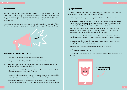We can't stress enough how important promotion is. Too many times a great club/ society event has been let down by last-minute promotion. Therefore, when promoting anything, whether you're developing your club/soc in general or planning an event, make sure you are thinking about promotion – lead time, channels, time to create resources etc.

AUBSU will be promoting our Clubs & Socs generally throughout the year but if there is a key event you want promoted then please let us know about it in plenty of time!

# *Creating HYPE*

### **Here**'**s how to promote your Club/Soc:**

- Keep your webpage updated on aubsu.co.uk/activities
- Design some posters & flyers that can be used in print and online
- Keep your Facebook group updated with new posts potential new members will be put off if a society doesn't look active
- If you want portrait A3 posters put up around uni then drop them into AUBSU 2-4 weeks before your event (max 10 posters)
- If you want to book a courtyard slot then let AUBSU know as soon as possible. Slots tend to get booked up fast so get something in our diary!
- When doing promotion on the courtyard, make sure it's interactive! Just handing out flyers won't cut it anymore. Do something to get people engaged.



Our savvy marketing and event staff have given us some top tips to share with you so you can get the most out of your promotion efforts:

- Posts with photos of people and gifs perform the best, as do videos & reels
- Facebook and Twitter algorithms are more geared towards landscape oriented photos/images, and they will generally present much nicer in landscape mode than portrait. Though it'a all about Instagram at the moment!
- Make sure that in each of your posts you include either a call to action, or a link for people to click on to find out more information. E.g "Get your hands on tickets for our film screening here: aubsu.co.uk/filmtickets"
- As a general rule of thumb, we have found that most students are online during the following times: Mon-Fri – 2-8pm, Saturday – 12-6pm, Sunday – 5-11pm
- Try organising a bigger, one-off event to get people hooked once they come along, they're more likely to come again.
- Meet regularly people will lose interest if you drop off the grid
- Don't underestimate word of mouth!
- Give interested members roles and responsibilities to keep them invested in your club/soc



# *Top Tips for Promo*

*If in doubt, animal GIFs always go down well.*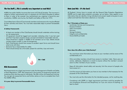# *The Fun Stuff (...This is actually very important so read this!)*

AUBSU has public liability insurance that covers all Clubs & Societies. The insurance is subject to certain requirements and it is necessary for all Clubs & Societies to adhere to them in order to be covered. Any activity/event you organise is bound by your constitution, AUBSU, and, by law, the Health and Safety at Work Act 1974.

Committees have a Duty of Care towards members and everyone who may be affected by their activities and events. You must take reasonable steps to prevent foreseeable harm.

### **A Safety Framework:**

- At least one member of the Club/Society should should undertake online training on risk assessments.
- All equipment should be logged and recorded, indicating when it was last used and that it has been properly stored, serviced and tested at reasonable intervals.
- There should be a register in AUBSU of all members out on trips. Details should include contact number in case of emergencies.
- Each Club/Society should have access to accident report forms and should know what to do with them.
- Everyone has a responsibility for safety.
- There should always be a first-aider present for activities, trips and events.

# *Risk Assessments*

Risk Assessments are a legal requirement under the Management of Health and Safety at Work Regulations 1999. Risk assessment is the process of recognizing hazards and analysing what risks they pose to individuals. We offer online risk assessment training. You can get risk assessment forms and further advice on how to complete them from the AUBSU Office.

**It is your duty to prevent foreseeable harm.**



All Students' Unions have to comply with the General Data Protection Regulations (GDPR) and its eight data protection principles, set out below. Data applies to any information that can identify a living individual and consent needs to be given to sort, collect and hold that information electronic or manually.

#### **The 7 Principles of Data are:**

- Lawfulness, fairness and transparency
- Purpose limitation
- Data minimisation
- **Accuracy**
- Storage limitation
- Integrity and confidentiality
- Accountability principle



## **How does this affect your Club/Society?**

names, addresses, telephone or email to anyone without the member's consent

- You must know what information you have on your members and be aware of the confidentiality of it.
- Only committee members should have access to members' data. Never give out (even to other members of your society).
- Keep all information stored safely and securely, limit the amount of people who have access to it.
- Limit the amount of information you have on any member to that necessary for the purposes of the Club/Society.
- You must only use the information for the intended purpose, not for anything else.
- Compliance with GDPR is a legal requirement and there could be penalties for best to check!

non-compliance (financial and disciplinary) so if you are unsure of anything, it's

# *Data (and this - it's the law!)*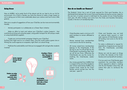Here at AUBSU, we're pretty fond of the planet and do our best to do our bit for environment. As a Club or Society, you have the chance to make a huge impact so we're asking you to think more sustainably about your actions and how to be a little greener.

Here are a couple of suggestions of how your Club/Soc can be more environmentally friendly:

Actively participate in or collaborate on a Green Team initiative

• Make an effort to track and reduce your Club/Soc's carbon footprint – that could be by printing and using less paper, using public transport for off-campus meets or using local/ethical suppliers

• Create your environmental campaign linked to your Club/Soc! Surfing Club might want to run a beach clean, Zine Soc could create a green zine or Writing Soc could organise an ecopoetry night (that's an actual thing)

• Publicise the sustainability work that you've engaged with and get other students involved

## *Going Green*



The Students' Union has a pot of funds reserved for Club sand Societies, this is distributed fairly between the current Club sand Societies during the summer ready for the new term. A certain amount is held back for the creation of new Clubs/Societies each year. All other funding must come from the Clubs and Societies themselves, usually in the form of membership fees.

## *How do we handle our finances?*

- Clubs/Societies need a minimum of 5 paid members to remain affiliated to AUBSU.
- Money received from memberships must come to the SU for banking.
- All money raised from memberships belongs to the Club/Society. If the SU has to use it to off set fees for the Club/Society (e.g.booking fees) then we will let you know. Otherwise the Club/Society can use the money for anything the Club/Society needs/ wants.
- Any money granted from AUBSU that is unspent at the end of the Academic year will be reclaimed by AUBSU. Any unspent funds raised by the Club/ Society cannot carried over into the next year - spent it!
- Clubs and Societies may not hold an external bank account or hold cash reserves of Club/Society money, all funding must come to the SU for banking.
- To make a withdrawal or request for expenditure, 2 signatures are required from the Club/Society committee members.
- Money can only be spent on things to further the interests of the Club/ Society and must benefit all members.
- If at any point any Club/Society goes overdrawn the committee members will be required to attend a meeting with the SU President where they will outline their plan to reimburse the money.

# £ £ £ £ £ £ £ £ £ £ £ £ £ £ £ £ £ £ £

# £ £ £ £ £ £ £ £ £ £ £ £ £ £ £ £ £ £ £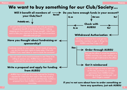

Pop into the office or email the details to AUBSU and they can order stuff for you online and get it delivered to the office

If you're tight on time or have an on-the-day purchase you can seek permission from AUBSU to buy something and get it reimbursed - just don't forget a receipt!

# have any questions, just ask AUBSU

# We want to buy something for our Club/Society...

Yes!



# **Order through AUBSU**